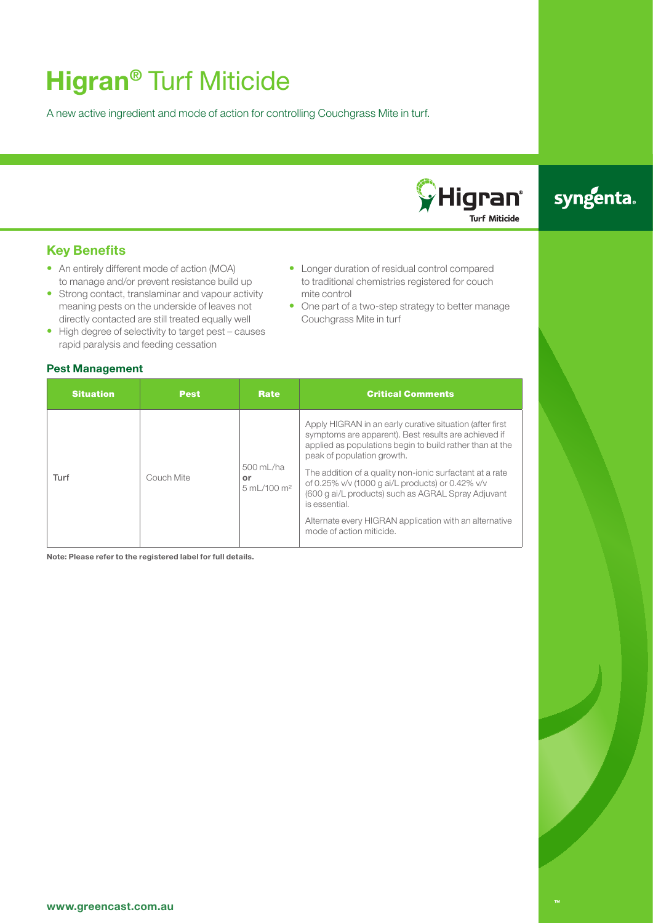## **Higran®** Turf Miticide

A new active ingredient and mode of action for controlling Couchgrass Mite in turf.

# **C**Higran® **Turf Miticide**

## syngenta.

## **Key Benefits**

- An entirely different mode of action (MOA) to manage and/or prevent resistance build up
- Strong contact, translaminar and vapour activity meaning pests on the underside of leaves not directly contacted are still treated equally well
- High degree of selectivity to target pest causes rapid paralysis and feeding cessation

### **Pest Management**

- Longer duration of residual control compared to traditional chemistries registered for couch mite control
- One part of a two-step strategy to better manage Couchgrass Mite in turf

| <b>Situation</b> | <b>Pest</b> | Rate                                                | <b>Critical Comments</b>                                                                                                                                                                                                                                                                                                                                                                                                                                                                |
|------------------|-------------|-----------------------------------------------------|-----------------------------------------------------------------------------------------------------------------------------------------------------------------------------------------------------------------------------------------------------------------------------------------------------------------------------------------------------------------------------------------------------------------------------------------------------------------------------------------|
| Turf             | Couch Mite  | 500 mL/ha<br>or<br>$5 \text{ mL} / 100 \text{ m}^2$ | Apply HIGRAN in an early curative situation (after first<br>symptoms are apparent). Best results are achieved if<br>applied as populations begin to build rather than at the<br>peak of population growth.<br>The addition of a quality non-ionic surfactant at a rate<br>of 0.25% v/v (1000 g ai/L products) or 0.42% v/v<br>(600 g ai/L products) such as AGRAL Spray Adjuvant<br>is essential.<br>Alternate every HIGRAN application with an alternative<br>mode of action miticide. |

**Note: Please refer to the registered label for full details.**